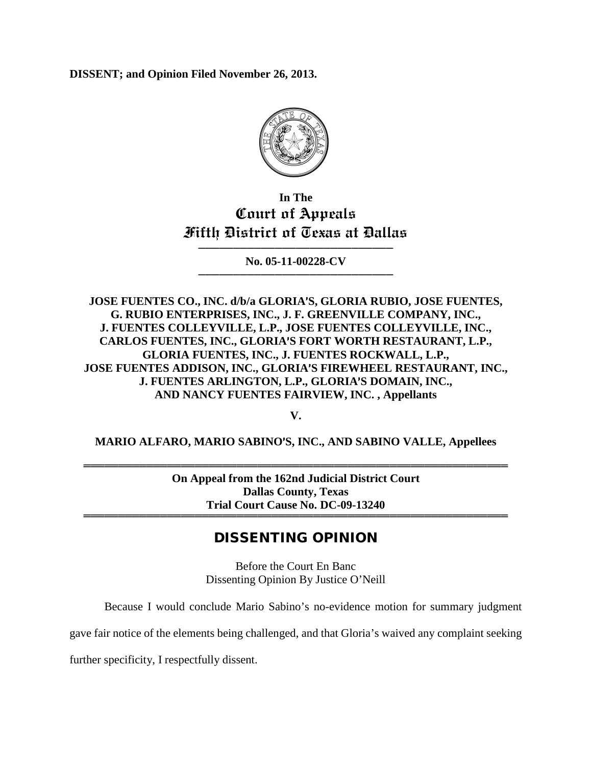**DISSENT; and Opinion Filed November 26, 2013.**



## **In The Court of Appeals Fifth District of Texas at Dallas**

──────────────────────────── **No. 05-11-00228-CV** ────────────────────────────

**JOSE FUENTES CO., INC. d/b/a GLORIA**=**S, GLORIA RUBIO, JOSE FUENTES, G. RUBIO ENTERPRISES, INC., J. F. GREENVILLE COMPANY, INC., J. FUENTES COLLEYVILLE, L.P., JOSE FUENTES COLLEYVILLE, INC., CARLOS FUENTES, INC., GLORIA**=**S FORT WORTH RESTAURANT, L.P., GLORIA FUENTES, INC., J. FUENTES ROCKWALL, L.P.,**  JOSE FUENTES ADDISON, INC., GLORIA'S FIREWHEEL RESTAURANT, INC., **J. FUENTES ARLINGTON, L.P., GLORIA**=**S DOMAIN, INC., AND NANCY FUENTES FAIRVIEW, INC. , Appellants**

**V.**

**MARIO ALFARO, MARIO SABINO**=**S, INC., AND SABINO VALLE, Appellees**

═════════════════════════════════════════════════════════════ **On Appeal from the 162nd Judicial District Court Dallas County, Texas Trial Court Cause No. DC-09-13240** ═════════════════════════════════════════════════════════════

## DISSENTING OPINION

Before the Court En Banc Dissenting Opinion By Justice O'Neill

Because I would conclude Mario Sabino's no-evidence motion for summary judgment

gave fair notice of the elements being challenged, and that Gloria's waived any complaint seeking

further specificity, I respectfully dissent.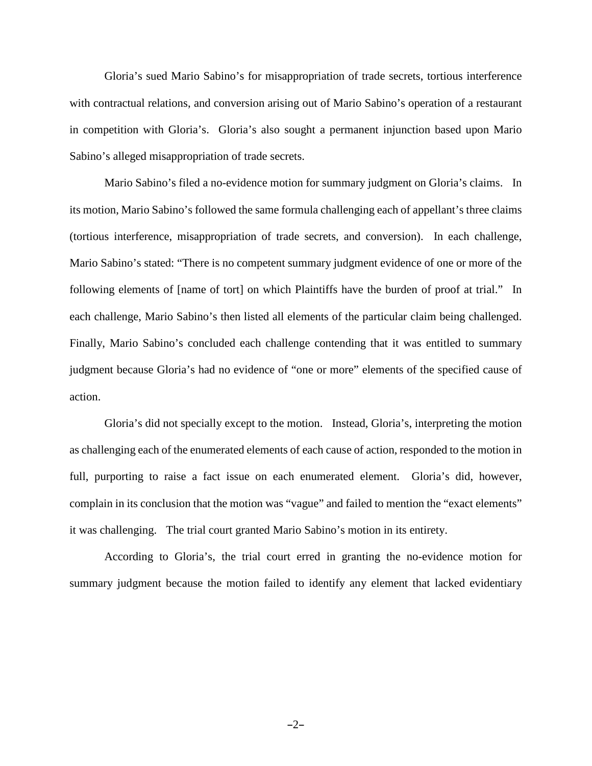Gloria's sued Mario Sabino's for misappropriation of trade secrets, tortious interference with contractual relations, and conversion arising out of Mario Sabino's operation of a restaurant in competition with Gloria's. Gloria's also sought a permanent injunction based upon Mario Sabino's alleged misappropriation of trade secrets.

Mario Sabino's filed a no-evidence motion for summary judgment on Gloria's claims. In its motion, Mario Sabino's followed the same formula challenging each of appellant's three claims (tortious interference, misappropriation of trade secrets, and conversion). In each challenge, Mario Sabino's stated: "There is no competent summary judgment evidence of one or more of the following elements of [name of tort] on which Plaintiffs have the burden of proof at trial." In each challenge, Mario Sabino's then listed all elements of the particular claim being challenged. Finally, Mario Sabino's concluded each challenge contending that it was entitled to summary judgment because Gloria's had no evidence of "one or more" elements of the specified cause of action.

Gloria's did not specially except to the motion. Instead, Gloria's, interpreting the motion as challenging each of the enumerated elements of each cause of action, responded to the motion in full, purporting to raise a fact issue on each enumerated element. Gloria's did, however, complain in its conclusion that the motion was "vague" and failed to mention the "exact elements" it was challenging. The trial court granted Mario Sabino's motion in its entirety.

According to Gloria's, the trial court erred in granting the no-evidence motion for summary judgment because the motion failed to identify any element that lacked evidentiary

 $-2-$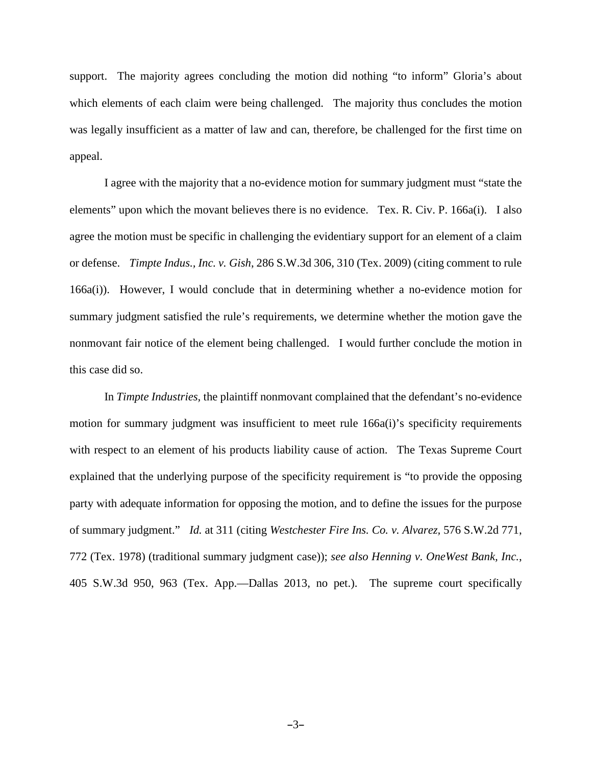support. The majority agrees concluding the motion did nothing "to inform" Gloria's about which elements of each claim were being challenged. The majority thus concludes the motion was legally insufficient as a matter of law and can, therefore, be challenged for the first time on appeal.

I agree with the majority that a no-evidence motion for summary judgment must "state the elements" upon which the movant believes there is no evidence. Tex. R. Civ. P. 166a(i). I also agree the motion must be specific in challenging the evidentiary support for an element of a claim or defense. *Timpte Indus., Inc. v. Gish*, 286 S.W.3d 306, 310 (Tex. 2009) (citing comment to rule 166a(i)). However, I would conclude that in determining whether a no-evidence motion for summary judgment satisfied the rule's requirements, we determine whether the motion gave the nonmovant fair notice of the element being challenged. I would further conclude the motion in this case did so.

In *Timpte Industries,* the plaintiff nonmovant complained that the defendant's no-evidence motion for summary judgment was insufficient to meet rule 166a(i)'s specificity requirements with respect to an element of his products liability cause of action. The Texas Supreme Court explained that the underlying purpose of the specificity requirement is "to provide the opposing party with adequate information for opposing the motion, and to define the issues for the purpose of summary judgment." *Id.* at 311 (citing *Westchester Fire Ins. Co. v. Alvarez,* 576 S.W.2d 771, 772 (Tex. 1978) (traditional summary judgment case)); *see also Henning v. OneWest Bank, Inc.*, 405 S.W.3d 950, 963 (Tex. App.—Dallas 2013, no pet.). The supreme court specifically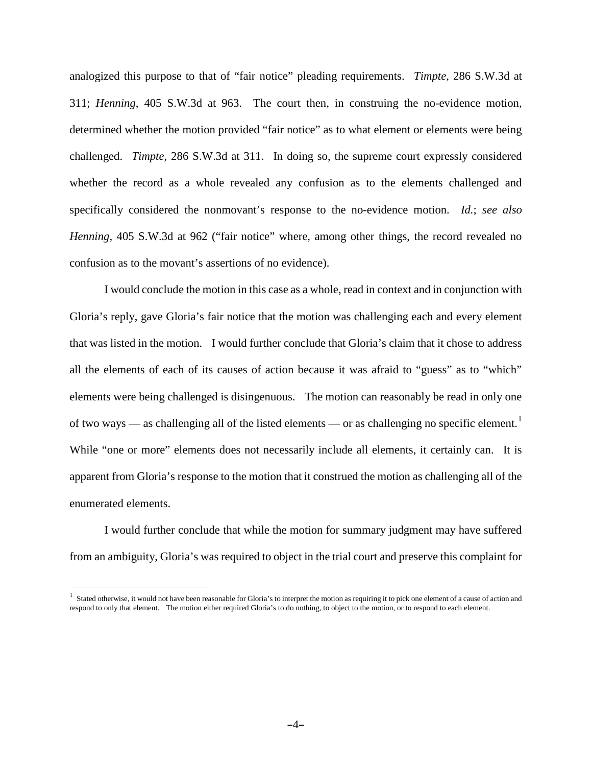analogized this purpose to that of "fair notice" pleading requirements. *Timpte*, 286 S.W.3d at 311; *Henning*, 405 S.W.3d at 963. The court then, in construing the no-evidence motion, determined whether the motion provided "fair notice" as to what element or elements were being challenged. *Timpte*, 286 S.W.3d at 311. In doing so, the supreme court expressly considered whether the record as a whole revealed any confusion as to the elements challenged and specifically considered the nonmovant's response to the no-evidence motion. *Id.*; *see also Henning*, 405 S.W.3d at 962 ("fair notice" where, among other things, the record revealed no confusion as to the movant's assertions of no evidence).

I would conclude the motion in this case as a whole, read in context and in conjunction with Gloria's reply, gave Gloria's fair notice that the motion was challenging each and every element that was listed in the motion. I would further conclude that Gloria's claim that it chose to address all the elements of each of its causes of action because it was afraid to "guess" as to "which" elements were being challenged is disingenuous. The motion can reasonably be read in only one of two ways — as challenging all of the listed elements — or as challenging no specific element.<sup>[1](#page-3-0)</sup> While "one or more" elements does not necessarily include all elements, it certainly can. It is apparent from Gloria's response to the motion that it construed the motion as challenging all of the enumerated elements.

I would further conclude that while the motion for summary judgment may have suffered from an ambiguity, Gloria's was required to object in the trial court and preserve this complaint for

<span id="page-3-0"></span> $<sup>1</sup>$  Stated otherwise, it would not have been reasonable for Gloria's to interpret the motion as requiring it to pick one element of a cause of action and</sup> respond to only that element. The motion either required Gloria's to do nothing, to object to the motion, or to respond to each element.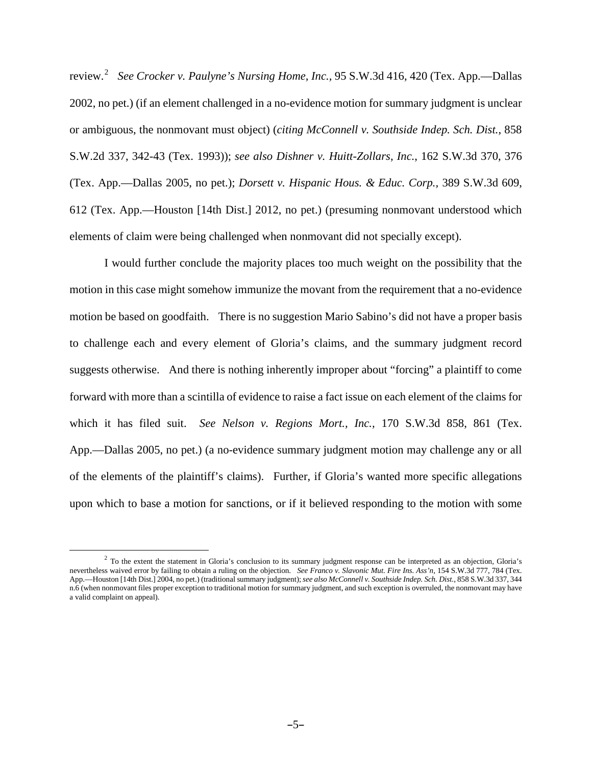review.[2](#page-4-0) *See Crocker v. Paulyne's Nursing Home, Inc.,* 95 S.W.3d 416, 420 (Tex. App.—Dallas 2002, no pet.) (if an element challenged in a no-evidence motion for summary judgment is unclear or ambiguous, the nonmovant must object) (*citing McConnell v. Southside Indep. Sch. Dist.*, 858 S.W.2d 337, 342-43 (Tex. 1993)); *see also Dishner v. Huitt-Zollars, Inc.*, 162 S.W.3d 370, 376 (Tex. App.—Dallas 2005, no pet.); *Dorsett v. Hispanic Hous. & Educ. Corp.,* 389 S.W.3d 609, 612 (Tex. App.—Houston [14th Dist.] 2012, no pet.) (presuming nonmovant understood which elements of claim were being challenged when nonmovant did not specially except).

I would further conclude the majority places too much weight on the possibility that the motion in this case might somehow immunize the movant from the requirement that a no-evidence motion be based on goodfaith. There is no suggestion Mario Sabino's did not have a proper basis to challenge each and every element of Gloria's claims, and the summary judgment record suggests otherwise. And there is nothing inherently improper about "forcing" a plaintiff to come forward with more than a scintilla of evidence to raise a fact issue on each element of the claims for which it has filed suit. *See Nelson v. Regions Mort., Inc.,* 170 S.W.3d 858, 861 (Tex. App.—Dallas 2005, no pet.) (a no-evidence summary judgment motion may challenge any or all of the elements of the plaintiff's claims). Further, if Gloria's wanted more specific allegations upon which to base a motion for sanctions, or if it believed responding to the motion with some

<span id="page-4-0"></span><sup>&</sup>lt;sup>2</sup> To the extent the statement in Gloria's conclusion to its summary judgment response can be interpreted as an objection, Gloria's nevertheless waived error by failing to obtain a ruling on the objection. *See Franco v. Slavonic Mut. Fire Ins. Ass'n,* 154 S.W.3d 777, 784 (Tex. App.—Houston [14th Dist.] 2004, no pet.) (traditional summary judgment); *see also McConnell v. Southside Indep. Sch. Dist.*, 858 S.W.3d 337, 344 n.6 (when nonmovant files proper exception to traditional motion for summary judgment, and such exception is overruled, the nonmovant may have a valid complaint on appeal).